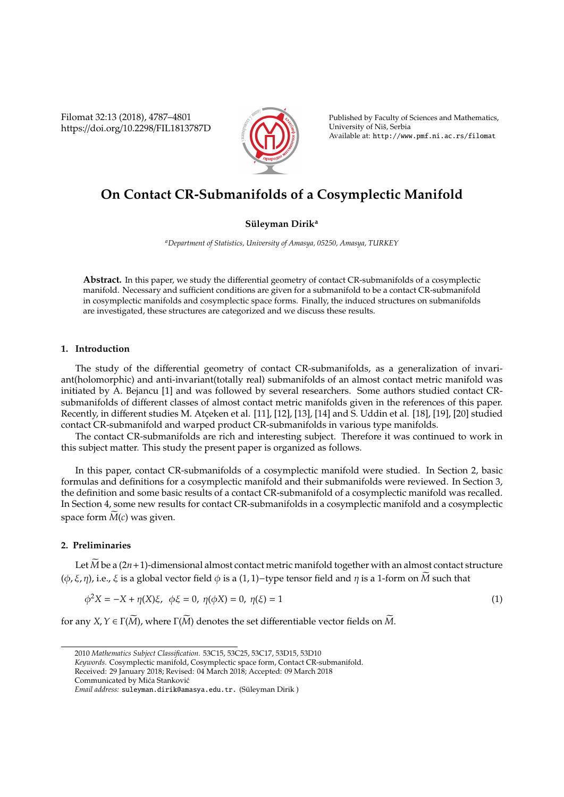Filomat 32:13 (2018), 4787–4801 https://doi.org/10.2298/FIL1813787D



Published by Faculty of Sciences and Mathematics, University of Niš, Serbia Available at: http://www.pmf.ni.ac.rs/filomat

# **On Contact CR-Submanifolds of a Cosymplectic Manifold**

# **S ¨uleyman Dirik<sup>a</sup>**

*<sup>a</sup>Department of Statistics, University of Amasya, 05250, Amasya, TURKEY*

**Abstract.** In this paper, we study the differential geometry of contact CR-submanifolds of a cosymplectic manifold. Necessary and sufficient conditions are given for a submanifold to be a contact CR-submanifold in cosymplectic manifolds and cosymplectic space forms. Finally, the induced structures on submanifolds are investigated, these structures are categorized and we discuss these results.

# **1. Introduction**

The study of the differential geometry of contact CR-submanifolds, as a generalization of invariant(holomorphic) and anti-invariant(totally real) submanifolds of an almost contact metric manifold was initiated by A. Bejancu [1] and was followed by several researchers. Some authors studied contact CRsubmanifolds of different classes of almost contact metric manifolds given in the references of this paper. Recently, in different studies M. Atceken et al. [11], [12], [13], [14] and S. Uddin et al. [18], [19], [20] studied contact CR-submanifold and warped product CR-submanifolds in various type manifolds.

The contact CR-submanifolds are rich and interesting subject. Therefore it was continued to work in this subject matter. This study the present paper is organized as follows.

In this paper, contact CR-submanifolds of a cosymplectic manifold were studied. In Section 2, basic formulas and definitions for a cosymplectic manifold and their submanifolds were reviewed. In Section 3, the definition and some basic results of a contact CR-submanifold of a cosymplectic manifold was recalled. In Section 4, some new results for contact CR-submanifolds in a cosymplectic manifold and a cosymplectic space form  $M(c)$  was given.

# **2. Preliminaries**

Let  $\overline{M}$  be a (2*n*+1)-dimensional almost contact metric manifold together with an almost contact structure ( $\phi$ , ξ, η), i.e., ξ is a global vector field  $\phi$  is a (1, 1)-type tensor field and η is a 1-form on *M* such that

$$
\phi^2 X = -X + \eta(X)\xi, \ \ \phi\xi = 0, \ \eta(\phi X) = 0, \ \eta(\xi) = 1 \tag{1}
$$

for any *X*,  $Y \in \Gamma(\widetilde{M})$ , where  $\Gamma(\widetilde{M})$  denotes the set differentiable vector fields on  $\widetilde{M}$ .

<sup>2010</sup> *Mathematics Subject Classification*. 53C15, 53C25, 53C17, 53D15, 53D10

*Keywords*. Cosymplectic manifold, Cosymplectic space form, Contact CR-submanifold.

Received: 29 January 2018; Revised: 04 March 2018; Accepted: 09 March 2018 Communicated by Mića Stanković

*Email address:* suleyman.dirik@amasya.edu.tr. (Suleyman Dirik ) ¨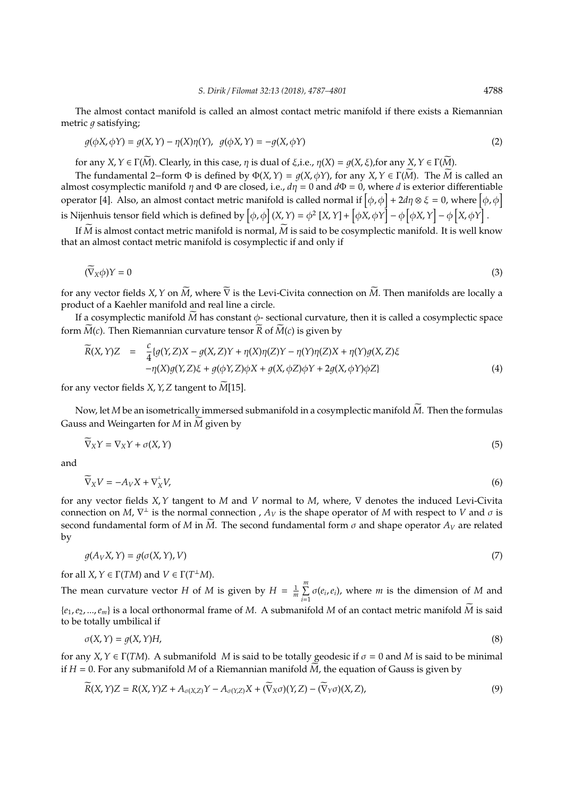The almost contact manifold is called an almost contact metric manifold if there exists a Riemannian metric  $q$  satisfying;

$$
g(\phi X, \phi Y) = g(X, Y) - \eta(X)\eta(Y), \quad g(\phi X, Y) = -g(X, \phi Y)
$$
\n(2)

for any *X*,  $Y \in \Gamma(\widetilde{M})$ . Clearly, in this case,  $\eta$  is dual of  $\xi$ , i.e.,  $\eta(X) = \eta(X, \xi)$ , for any  $X, Y \in \Gamma(\widetilde{M})$ .

The fundamental 2–form  $\Phi$  is defined by  $\Phi(X, Y) = q(X, \phi Y)$ , for any  $X, Y \in \Gamma(\widetilde{M})$ . The  $\widetilde{M}$  is called an almost cosymplectic manifold  $\eta$  and  $\Phi$  are closed, i.e.,  $d\eta = 0$  and  $d\Phi = 0$ , where *d* is exterior differentiable operator [4]. Also, an almost contact metric manifold is called normal if  $[\phi,\phi]+2d\eta\otimes \xi=0$ , where  $[\phi,\phi]$ is Nijenhuis tensor field which is defined by  $\left[\phi, \phi\right](X, Y) = \phi^2\left[X, Y\right] + \left[\phi X, \phi Y\right] - \phi\left[\phi X, Y\right] - \phi\left[X, \phi Y\right]$ .

If  $\overline{M}$  is almost contact metric manifold is normal,  $M$  is said to be cosymplectic manifold. It is well know that an almost contact metric manifold is cosymplectic if and only if

$$
(\widetilde{\nabla}_X \phi)Y = 0 \tag{3}
$$

for any vector fields *X*, *Y* on  $\widetilde{M}$ , where  $\overline{V}$  is the Levi-Civita connection on  $\widetilde{M}$ . Then manifolds are locally a product of a Kaehler manifold and real line a circle.

If a cosymplectic manifold  $M$  has constant  $\phi$ - sectional curvature, then it is called a cosymplectic space form  $M(c)$ . Then Riemannian curvature tensor  $R$  of  $M(c)$  is given by

$$
\widetilde{R}(X,Y)Z = \frac{c}{4} \{g(Y,Z)X - g(X,Z)Y + \eta(X)\eta(Z)Y - \eta(Y)\eta(Z)X + \eta(Y)g(X,Z)\xi
$$
  
 
$$
-\eta(X)g(Y,Z)\xi + g(\phi Y,Z)\phi X + g(X,\phi Z)\phi Y + 2g(X,\phi Y)\phi Z\}
$$
 (4)

for any vector fields  $X$ ,  $Y$ ,  $Z$  tangent to  $M[15]$ .

Now, let *M* be an isometrically immersed submanifold in a cosymplectic manifold  $\tilde{M}$ . Then the formulas Gauss and Weingarten for  $M$  in  $\widetilde{M}$  given by

$$
\widetilde{\nabla}_X Y = \nabla_X Y + \sigma(X, Y) \tag{5}
$$

and

$$
\widetilde{\nabla}_X V = -A_V X + \nabla_X^{\perp} V,\tag{6}
$$

for any vector fields *X*,*Y* tangent to *M* and *V* normal to *M*, where, ∇ denotes the induced Levi-Civita connection on *M*,  $\nabla^{\perp}$  is the normal connection ,  $A_V$  is the shape operator of *M* with respect to *V* and  $\sigma$  is second fundamental form of *M* in *M*. The second fundamental form  $\sigma$  and shape operator  $A_V$  are related by

$$
g(A_V X, Y) = g(\sigma(X, Y), V)
$$
\n<sup>(7)</sup>

for all  $X, Y \in \Gamma(TM)$  and  $V \in \Gamma(T^{\perp}M)$ .

The mean curvature vector *H* of *M* is given by  $H = \frac{1}{m} \sum_{n=1}^{m}$  $\sum_{i=1}^{\infty} \sigma(e_i, e_i)$ , where *m* is the dimension of *M* and  $\{e_1, e_2, ..., e_m\}$  is a local orthonormal frame of *M*. A submanifold *M* of an contact metric manifold *M* is said to be totally umbilical if

$$
\sigma(X,Y) = g(X,Y)H,\tag{8}
$$

for any *X*,  $Y \in \Gamma(TM)$ . A submanifold *M* is said to be totally geodesic if  $\sigma = 0$  and *M* is said to be minimal if  $H = 0$ . For any submanifold M of a Riemannian manifold  $\dot{M}$ , the equation of Gauss is given by

$$
\widetilde{R}(X,Y)Z = R(X,Y)Z + A_{\sigma(X,Z)}Y - A_{\sigma(Y,Z)}X + (\widetilde{\nabla}_X \sigma)(Y,Z) - (\widetilde{\nabla}_Y \sigma)(X,Z),
$$
\n(9)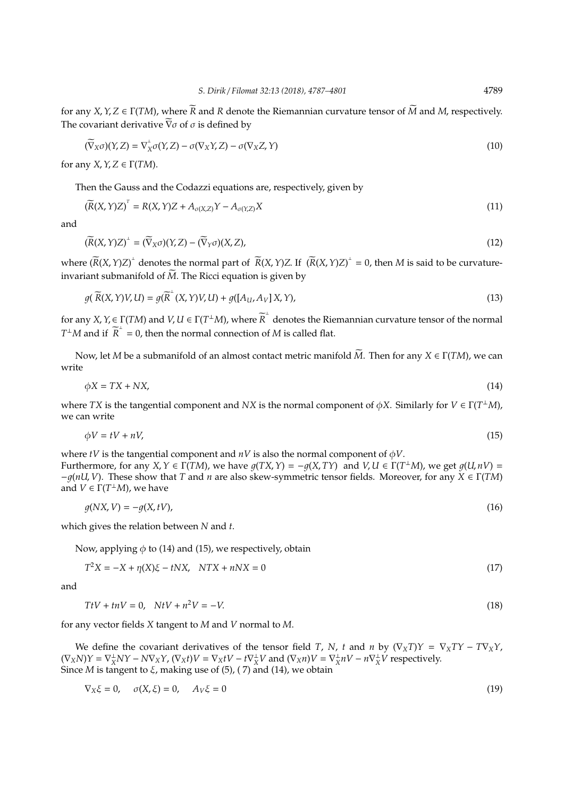for any *X*, *Y*, *Z*  $\in$   $\Gamma(TM)$ , where  $\overline{R}$  and *R* denote the Riemannian curvature tensor of  $\overline{M}$  and *M*, respectively. The covariant derivative  $\overline{\nabla} \sigma$  of  $\sigma$  is defined by

$$
(\widetilde{\nabla}_X \sigma)(Y, Z) = \nabla_X^{\perp} \sigma(Y, Z) - \sigma(\nabla_X Y, Z) - \sigma(\nabla_X Z, Y)
$$
\n(10)

for any *X*,  $Y$ ,  $Z \in \Gamma(TM)$ .

Then the Gauss and the Codazzi equations are, respectively, given by

$$
(\widetilde{R}(X,Y)Z)^{T} = R(X,Y)Z + A_{\sigma(X,Z)}Y - A_{\sigma(Y,Z)}X
$$
\n(11)

and

$$
(\widetilde{R}(X,Y)Z)^{\perp} = (\widetilde{\nabla}_X \sigma)(Y,Z) - (\widetilde{\nabla}_Y \sigma)(X,Z),\tag{12}
$$

where  $(\overline{R}(X, Y)Z)^{\perp}$  denotes the normal part of  $\overline{R}(X, Y)Z$ . If  $(\overline{R}(X, Y)Z)^{\perp} = 0$ , then *M* is said to be curvatureinvariant submanifold of  $\widetilde{M}$ . The Ricci equation is given by

$$
g(\widetilde{R}(X,Y)V,U) = g(\widetilde{R}^{\perp}(X,Y)V,U) + g([A_U, A_V]X,Y),
$$
\n(13)

for any  $X, Y \in \Gamma(TM)$  and  $V, U \in \Gamma(T^{\perp}M)$ , where  $\widetilde{R}^{\perp}$  denotes the Riemannian curvature tensor of the normal  $T^{\perp}M$  and if  $\widetilde{R}^{\perp} = 0$ , then the normal connection of *M* is called flat.

Now, let *M* be a submanifold of an almost contact metric manifold *M*. Then for any *X* ∈ Γ(*TM*), we can write

 $\phi X = TX + N X,$  (14)

where *TX* is the tangential component and *NX* is the normal component of  $\phi X$ . Similarly for  $V \in \Gamma(T^{\perp}M)$ , we can write

$$
\phi V = tV + nV,\tag{15}
$$

where *tV* is the tangential component and  $nV$  is also the normal component of  $\phi V$ . Furthermore, for any *X*,  $Y \in \Gamma(TM)$ , we have  $g(TX, Y) = -g(X, TY)$  and  $V, U \in \Gamma(T^{\perp}M)$ , we get  $g(U, nV) =$ −1(*nU*, *V*). These show that *T* and *n* are also skew-symmetric tensor fields. Moreover, for any *X* ∈ Γ(*TM*) and  $V \in \Gamma(T^{\perp}M)$ , we have

$$
g(NX,V) = -g(X,tV),\tag{16}
$$

which gives the relation between *N* and *t*.

Now, applying  $\phi$  to (14) and (15), we respectively, obtain

$$
T^2X = -X + \eta(X)\xi - tNX, \quad NTX + nNX = 0
$$
\n<sup>(17)</sup>

and

$$
TtV + tnV = 0, \quad NtV + n^2V = -V. \tag{18}
$$

for any vector fields *X* tangent to *M* and *V* normal to *M*.

We define the covariant derivatives of the tensor field *T*, *N*, *t* and *n* by  $(\nabla_X T)Y = \nabla_X TY - T\nabla_X Y$ ,  $(\nabla_X N)Y = \nabla_X^{\perp} NY - NV_XY$ ,  $(\nabla_X t)V = \nabla_X tV - t\nabla_X^{\perp}V$  and  $(\nabla_X n)V = \nabla_X^{\perp}$  $\frac{1}{X}nV - n\nabla \frac{1}{X}V$  respectively. Since *M* is tangent to  $\xi$ , making use of (5), (7) and (14), we obtain

$$
\nabla_X \xi = 0, \quad \sigma(X, \xi) = 0, \quad A_V \xi = 0 \tag{19}
$$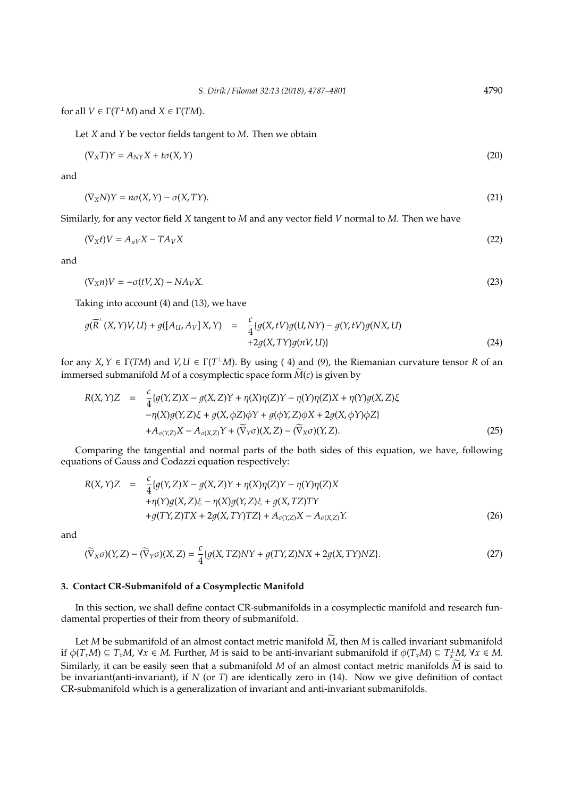for all  $V \in \Gamma(T^{\perp}M)$  and  $X \in \Gamma(TM)$ .

Let *X* and *Y* be vector fields tangent to *M*. Then we obtain

$$
(\nabla_X T)Y = A_{NY}X + t\sigma(X, Y) \tag{20}
$$

and

$$
(\nabla_X N)Y = n\sigma(X, Y) - \sigma(X, TY). \tag{21}
$$

Similarly, for any vector field *X* tangent to *M* and any vector field *V* normal to *M*. Then we have

$$
(\nabla_X t)V = A_{nV}X - TA_VX \tag{22}
$$

and

$$
(\nabla_X n)V = -\sigma(tV, X) - NA_VX.
$$
\n(23)

Taking into account (4) and (13), we have

$$
g(\overline{R}^+(X,Y)V,U) + g([A_U, A_V]X,Y) = \frac{c}{4} \{g(X,tV)g(U,NY) - g(Y,tV)g(NX,U) + 2g(X,TY)g(nV,U)\}
$$
\n(24)

for any  $X, Y \in \Gamma(TM)$  and  $V, U \in \Gamma(T^{\perp}M)$ . By using (4) and (9), the Riemanian curvature tensor *R* of an immersed submanifold  $M$  of a cosymplectic space form  $M(c)$  is given by

$$
R(X,Y)Z = \frac{c}{4} \{g(Y,Z)X - g(X,Z)Y + \eta(X)\eta(Z)Y - \eta(Y)\eta(Z)X + \eta(Y)g(X,Z)\xi
$$
  
 
$$
-\eta(X)g(Y,Z)\xi + g(X,\phi Z)\phi Y + g(\phi Y,Z)\phi X + 2g(X,\phi Y)\phi Z\}
$$
  
 
$$
+A_{\sigma(Y,Z)}X - A_{\sigma(X,Z)}Y + (\overline{V}_{Y}\sigma)(X,Z) - (\overline{V}_{X}\sigma)(Y,Z). \tag{25}
$$

Comparing the tangential and normal parts of the both sides of this equation, we have, following equations of Gauss and Codazzi equation respectively:

$$
R(X,Y)Z = \frac{c}{4} \{g(Y,Z)X - g(X,Z)Y + \eta(X)\eta(Z)Y - \eta(Y)\eta(Z)X
$$
  
+ $\eta(Y)g(X,Z)\xi - \eta(X)g(Y,Z)\xi + g(X,TZ)TY$   
+ $g(TY,Z)TX + 2g(X,TY)TZ\} + A_{\sigma(Y,Z)}X - A_{\sigma(X,Z)}Y.$  (26)

and

$$
(\widetilde{\nabla}_X \sigma)(Y, Z) - (\widetilde{\nabla}_Y \sigma)(X, Z) = \frac{c}{4} \{ g(X, TZ)NY + g(TY, Z)NX + 2g(X, TY)NZ \}.
$$
 (27)

### **3. Contact CR-Submanifold of a Cosymplectic Manifold**

In this section, we shall define contact CR-submanifolds in a cosymplectic manifold and research fundamental properties of their from theory of submanifold.

Let  $M$  be submanifold of an almost contact metric manifold  $\widetilde{M}$ , then  $M$  is called invariant submanifold if  $\phi(T_xM) \subseteq T_xM$ ,  $\forall x \in M$ . Further, *M* is said to be anti-invariant submanifold if  $\phi(T_xM) \subseteq T_x^{\perp}M$ ,  $\forall x \in M$ . Similarly, it can be easily seen that a submanifold *M* of an almost contact metric manifolds *M* is said to be invariant(anti-invariant), if *N* (or *T*) are identically zero in (14). Now we give definition of contact CR-submanifold which is a generalization of invariant and anti-invariant submanifolds.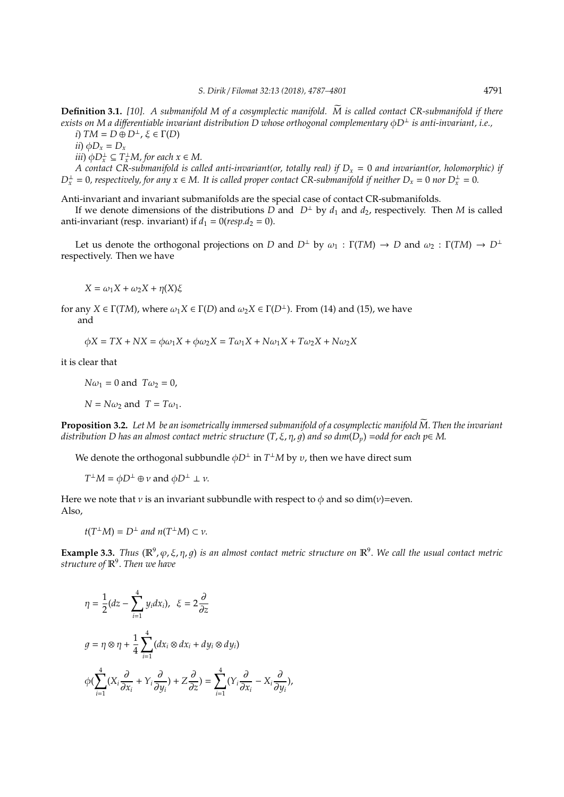**Definition 3.1.** *[10]. A submanifold M of a cosymplectic manifold. M is called contact CR-submanifold if there* e *exists on M a di*ff*erentiable invariant distribution D whose orthogonal complementary* φ*D*<sup>⊥</sup> *is anti-invariant, i.e., i*)  $TM = D \oplus D^{\perp}, \xi \in \Gamma(D)$ 

 $\phi D_x = D_x$ 

 $(iii) \phi D_x^{\perp} \subseteq T_x^{\perp}M$ , for each  $x \in M$ .

*A contact CR-submanifold is called anti-invariant(or, totally real) if D<sup>x</sup>* = 0 *and invariant(or, holomorphic) if*  $D_x^{\perp} = 0$ , respectively, for any  $x \in M$ . It is called proper contact CR-submanifold if neither  $D_x = 0$  nor  $D_x^{\perp} = 0$ .

Anti-invariant and invariant submanifolds are the special case of contact CR-submanifolds.

If we denote dimensions of the distributions *D* and  $D^{\perp}$  by  $d_1$  and  $d_2$ , respectively. Then *M* is called anti-invariant (resp. invariant) if  $d_1 = 0$ (*resp.* $d_2 = 0$ ).

Let us denote the orthogonal projections on *D* and  $D^{\perp}$  by  $\omega_1 : \Gamma(TM) \to D$  and  $\omega_2 : \Gamma(TM) \to D^{\perp}$ respectively. Then we have

*X* =  $ω_1X + ω_2X + η(X)ξ$ 

for any *X*  $\in$   $\Gamma(TM)$ , where  $\omega_1 X \in \Gamma(D)$  and  $\omega_2 X \in \Gamma(D^{\perp})$ . From (14) and (15), we have and

$$
\phi X = TX +NX = \phi \omega_1 X + \phi \omega_2 X = T \omega_1 X + N \omega_1 X + T \omega_2 X + N \omega_2 X
$$

it is clear that

 $N\omega_1 = 0$  and  $T\omega_2 = 0$ ,

 $N = N\omega_2$  and  $T = T\omega_1$ .

**Proposition 3.2.** Let M be an isometrically immersed submanifold of a cosymplectic manifold  $\widetilde{M}$ . Then the invariant *distribution D has an almost contact metric structure*  $(T, \xi, \eta, g)$  *and so dim*( $D_p$ ) =*odd for each p*∈ *M*.

We denote the orthogonal subbundle  $\phi D^{\perp}$  in  $T^{\perp}M$  by  $v$ , then we have direct sum

 $T^{\perp}M = \phi D^{\perp} \oplus \nu$  and  $\phi D^{\perp} \perp \nu$ .

Here we note that *v* is an invariant subbundle with respect to  $\phi$  and so dim(*v*)=even. Also,

$$
t(T^{\perp}M) = D^{\perp} \text{ and } n(T^{\perp}M) \subset \nu.
$$

**Example 3.3.** *Thus*  $(\mathbb{R}^9, \varphi, \xi, \eta, g)$  *is an almost contact metric structure on*  $\mathbb{R}^9$ . We call the usual contact metric *structure of* R<sup>9</sup> . *Then we have*

$$
\eta = \frac{1}{2} (dz - \sum_{i=1}^{4} y_i dx_i), \ \xi = 2 \frac{\partial}{\partial z}
$$

$$
g = \eta \otimes \eta + \frac{1}{4} \sum_{i=1}^{4} (dx_i \otimes dx_i + dy_i \otimes dy_i)
$$

$$
\phi(\sum_{i=1}^{4} (X_i \frac{\partial}{\partial x_i} + Y_i \frac{\partial}{\partial y_i}) + Z \frac{\partial}{\partial z}) = \sum_{i=1}^{4} (Y_i \frac{\partial}{\partial x_i} - X_i \frac{\partial}{\partial y_i}),
$$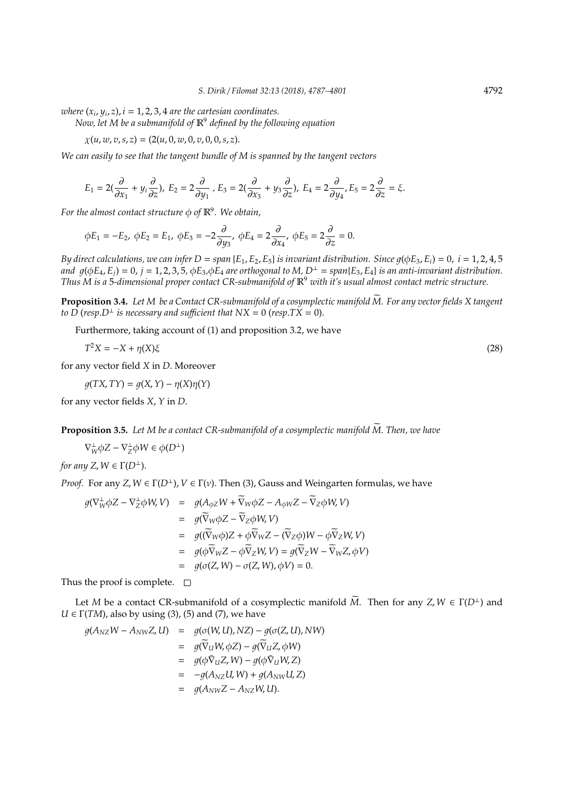*where*  $(x_i, y_i, z)$ ,  $i = 1, 2, 3, 4$  *are the cartesian coordinates.* 

*Now, let M be a submanifold of* R<sup>9</sup> *defined by the following equation*

 $\chi(u, w, v, s, z) = (2(u, 0, w, 0, v, 0, 0, s, z).$ 

*We can easily to see that the tangent bundle of M is spanned by the tangent vectors*

$$
E_1=2(\frac{\partial}{\partial x_1}+y_i\frac{\partial}{\partial z}),\; E_2=2\frac{\partial}{\partial y_1}\;,\; E_3=2(\frac{\partial}{\partial x_3}+y_3\frac{\partial}{\partial z}),\; E_4=2\frac{\partial}{\partial y_4},\; E_5=2\frac{\partial}{\partial z}=\xi.
$$

*For the almost contact structure* φ *of* R<sup>9</sup> *. We obtain,*

$$
\phi E_1 = -E_2, \ \phi E_2 = E_1, \ \phi E_3 = -2\frac{\partial}{\partial y_3}, \ \phi E_4 = 2\frac{\partial}{\partial x_4}, \ \phi E_5 = 2\frac{\partial}{\partial z} = 0.
$$

*By direct calculations, we can infer*  $D = span\{E_1, E_2, E_5\}$  *<i>is invariant distribution. Since*  $q(\phi E_3, E_i) = 0$ ,  $i = 1, 2, 4, 5$ *and*  $g(\phi E_4, E_i) = 0$ ,  $j = 1, 2, 3, 5$ ,  $\phi E_3$ ,  $\phi E_4$  *are orthogonal to M*,  $D^{\perp} = span{E_3, E_4}$  *is an anti-invariant distribution. Thus M is a* 5*-dimensional proper contact CR-submanifold of* R<sup>9</sup> *with it's usual almost contact metric structure.*

**Proposition 3.4.** Let M be a Contact CR-submanifold of a cosymplectic manifold  $\widetilde{M}$ . For any vector fields X tangent *to D* (*resp.D*<sup> $\perp$ </sup> *is necessary and sufficient that*  $NX = 0$  (*resp.TX* = 0).

Furthermore, taking account of (1) and proposition 3.2, we have

$$
T^2X = -X + \eta(X)\xi
$$
\n<sup>(28)</sup>

for any vector field *X* in *D*. Moreover

 $q(TX, TY) = q(X, Y) - \eta(X)\eta(Y)$ 

for any vector fields *X*, *Y* in *D*.

**Proposition 3.5.** Let M be a contact CR-submanifold of a cosymplectic manifold  $\widetilde{M}$ . Then, we have

 $\nabla_W^{\perp} \phi Z - \nabla_Z^{\perp} \phi W \in \phi(D^{\perp})$ 

*for any Z, W*  $\in \Gamma(D^{\perp})$ .

*Proof.* For any *Z*,  $W \in \Gamma(D^{\perp})$ ,  $V \in \Gamma(\nu)$ . Then (3), Gauss and Weingarten formulas, we have

$$
g(\nabla_{W}^{\perp}\phi Z - \nabla_{Z}^{\perp}\phi W, V) = g(A_{\phi Z}W + \overline{\nabla}_{W}\phi Z - A_{\phi W}Z - \overline{\nabla}_{Z}\phi W, V)
$$
  
\n
$$
= g(\overline{\nabla}_{W}\phi Z - \overline{\nabla}_{Z}\phi W, V)
$$
  
\n
$$
= g((\overline{\nabla}_{W}\phi)Z + \phi\overline{\nabla}_{W}Z - (\overline{\nabla}_{Z}\phi)W - \phi\overline{\nabla}_{Z}W, V)
$$
  
\n
$$
= g(\phi\overline{\nabla}_{W}Z - \phi\overline{\nabla}_{Z}W, V) = g(\overline{\nabla}_{Z}W - \overline{\nabla}_{W}Z, \phi V)
$$
  
\n
$$
= g(\sigma(Z, W) - \sigma(Z, W), \phi V) = 0.
$$

Thus the proof is complete.  $\square$ 

Let *M* be a contact CR-submanifold of a cosymplectic manifold  $\widetilde{M}$ . Then for any *Z*,  $W \in \Gamma(D^{\perp})$  and  $U \in \Gamma(TM)$ , also by using (3), (5) and (7), we have

$$
g(A_{NZ}W - A_{NW}Z, U) = g(\sigma(W, U), NZ) - g(\sigma(Z, U), NW)
$$
  
\n
$$
= g(\widetilde{\nabla}_U W, \phi Z) - g(\widetilde{\nabla}_U Z, \phi W)
$$
  
\n
$$
= g(\phi \widetilde{\nabla}_U Z, W) - g(\phi \widetilde{\nabla}_U W, Z)
$$
  
\n
$$
= -g(A_{NZ}U, W) + g(A_{NW}U, Z)
$$
  
\n
$$
= g(A_{NW}Z - A_{NZ}W, U).
$$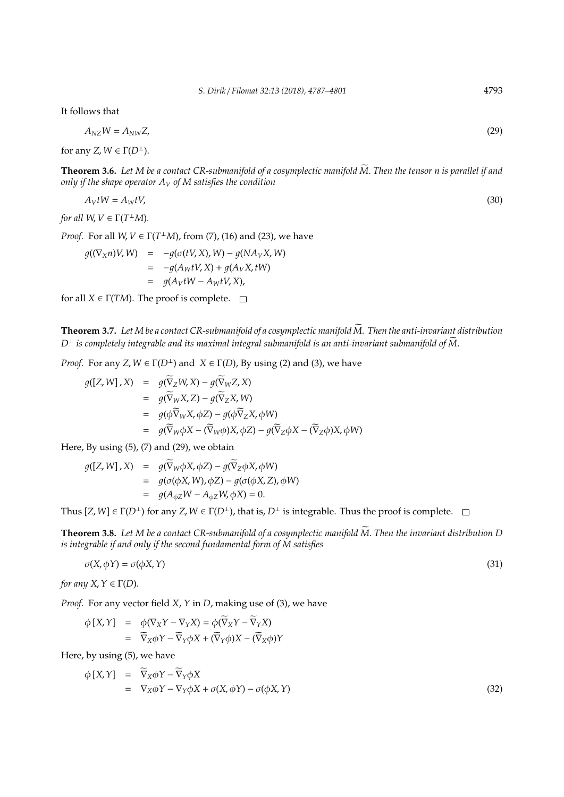It follows that

$$
A_{\rm NZ}W = A_{\rm NW}Z,\tag{29}
$$

for any *Z*,  $W \in \Gamma(D^{\perp})$ .

**Theorem 3.6.** Let M be a contact CR-submanifold of a cosymplectic manifold  $\widetilde{M}$ . Then the tensor n is parallel if and *only if the shape operator A<sup>V</sup> of M satisfies the condition*

$$
A_V tW = A_W tV, \tag{30}
$$

*for all*  $W, V \in \Gamma(T^{\perp}M)$ *.* 

*Proof.* For all  $W, V \in \Gamma(T^{\perp}M)$ , from (7), (16) and (23), we have

$$
g((\nabla_X n)V, W) = -g(\sigma(tV, X), W) - g(NA_V X, W)
$$
  
= -g(A\_W tV, X) + g(A\_V X, tW)  
= g(A\_V tW - A\_W tV, X),

for all  $X \in \Gamma(TM)$ . The proof is complete.  $\square$ 

**Theorem 3.7.** *Let M be a contact CR-submanifold of a cosymplectic manifold M. Then the anti-invariant distribution* e  $D^{\perp}$  *is completely integrable and its maximal integral submanifold is an anti-invariant submanifold of M.* 

*Proof.* For any *Z*,  $W \in \Gamma(D^{\perp})$  and  $X \in \Gamma(D)$ , By using (2) and (3), we have

$$
g([Z, W], X) = g(\overline{\nabla}_Z W, X) - g(\overline{\nabla}_W Z, X)
$$
  
\n
$$
= g(\overline{\nabla}_W X, Z) - g(\overline{\nabla}_Z X, W)
$$
  
\n
$$
= g(\phi \overline{\nabla}_W X, \phi Z) - g(\phi \overline{\nabla}_Z X, \phi W)
$$
  
\n
$$
= g(\overline{\nabla}_W \phi X - (\overline{\nabla}_W \phi) X, \phi Z) - g(\overline{\nabla}_Z \phi X - (\overline{\nabla}_Z \phi) X, \phi W)
$$

Here, By using (5), (7) and (29), we obtain

$$
g([Z, W], X) = g(\overline{\nabla}_W \phi X, \phi Z) - g(\overline{\nabla}_Z \phi X, \phi W)
$$
  
=  $g(\sigma(\phi X, W), \phi Z) - g(\sigma(\phi X, Z), \phi W)$   
=  $g(A_{\phi Z} W - A_{\phi Z} W, \phi X) = 0.$ 

Thus  $[Z, W] \in \Gamma(D^{\perp})$  for any  $Z, W \in \Gamma(D^{\perp})$ , that is,  $D^{\perp}$  is integrable. Thus the proof is complete.  $\square$ 

**Theorem 3.8.** Let M be a contact CR-submanifold of a cosymplectic manifold  $\widetilde{M}$ . Then the invariant distribution D *is integrable if and only if the second fundamental form of M satisfies*

$$
\sigma(X, \phi Y) = \sigma(\phi X, Y) \tag{31}
$$

*for any X, Υ* ∈ Γ(*D*).

*Proof.* For any vector field *X*, *Y* in *D*, making use of (3), we have

$$
\begin{array}{rcl}\n\phi \left[ X, Y \right] & = & \phi(\nabla_X Y - \nabla_Y X) = \phi(\widetilde{\nabla}_X Y - \widetilde{\nabla}_Y X) \\
& = & \widetilde{\nabla}_X \phi Y - \widetilde{\nabla}_Y \phi X + (\widetilde{\nabla}_Y \phi) X - (\widetilde{\nabla}_X \phi) Y\n\end{array}
$$

Here, by using (5), we have

$$
\begin{array}{rcl}\n\phi \left[ X, Y \right] & = & \widetilde{\nabla}_X \phi Y - \widetilde{\nabla}_Y \phi X \\
& = & \nabla_X \phi Y - \nabla_Y \phi X + \sigma(X, \phi Y) - \sigma(\phi X, Y)\n\end{array} \tag{32}
$$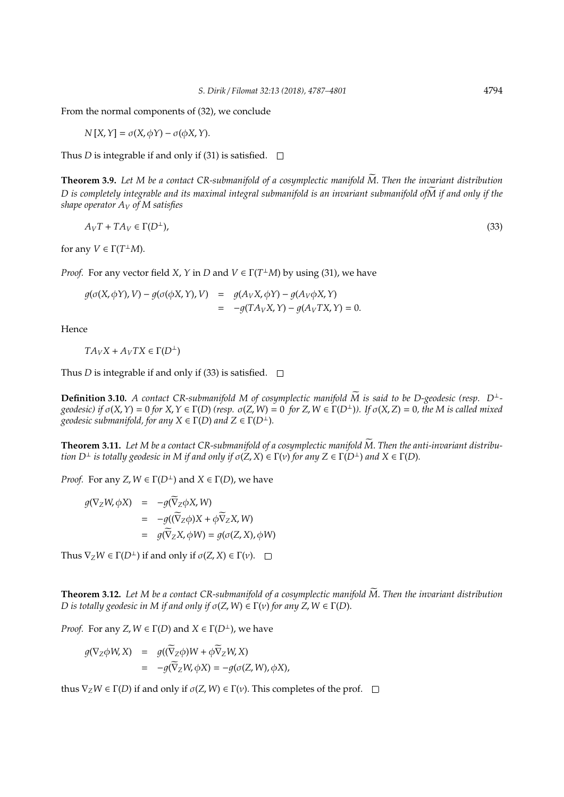From the normal components of (32), we conclude

$$
N[X, Y] = \sigma(X, \phi Y) - \sigma(\phi X, Y).
$$

Thus *D* is integrable if and only if (31) is satisfied.  $\Box$ 

**Theorem 3.9.** Let M be a contact CR-submanifold of a cosymplectic manifold  $\widetilde{M}$ . Then the invariant distribution *D* is completely integrable and its maximal integral submanifold is an invariant submanifold ofM if and only if the *shape operator A<sup>V</sup> of M satisfies*

$$
A_V T + T A_V \in \Gamma(D^{\perp}),\tag{33}
$$

for any  $V \in \Gamma(T^{\perp}M)$ .

*Proof.* For any vector field *X*, *Y* in *D* and  $V \in \Gamma(T^{\perp}M)$  by using (31), we have

 $g(\sigma(X, \phi Y), V) - g(\sigma(\phi X, Y), V) = g(A_V X, \phi Y) - g(A_V \phi X, Y)$  $= -q(TA_VX, Y) - q(A_VTX, Y) = 0.$ 

Hence

$$
TA_{V}X + A_{V}TX \in \Gamma(D^{\perp})
$$

Thus *D* is integrable if and only if (33) is satisfied.  $\square$ 

**Definition 3.10.** *A contact CR-submanifold M of cosymplectic manifold*  $\widetilde{M}$  is said to be D-geodesic (resp. D<sup>⊥</sup>geodesic) if  $\sigma(X, Y) = 0$  for  $X, Y \in \Gamma(D)$  (resp.  $\sigma(Z, W) = 0$  for  $Z, W \in \Gamma(D^{\perp})$ ). If  $\sigma(X, Z) = 0$ , the M is called mixed *geodesic submanifold, for any*  $X \in \Gamma(D)$  *and*  $Z \in \Gamma(D^{\perp})$ *.* 

**Theorem 3.11.** Let M be a contact CR-submanifold of a cosymplectic manifold  $\widetilde{M}$ . Then the anti-invariant distribu*tion*  $D^{\perp}$  *is totally geodesic in M if and only if*  $\sigma(Z, X) \in \Gamma(\nu)$  *for any*  $Z \in \Gamma(D^{\perp})$  *and*  $X \in \Gamma(D)$ *.* 

*Proof.* For any *Z*,  $W \in \Gamma(D^{\perp})$  and  $X \in \Gamma(D)$ , we have

$$
g(\nabla_Z W, \phi X) = -g(\overline{\nabla}_Z \phi X, W)
$$
  
=  $-g((\overline{\nabla}_Z \phi)X + \phi \overline{\nabla}_Z X, W)$   
=  $g(\overline{\nabla}_Z X, \phi W) = g(\sigma(Z, X), \phi W)$ 

Thus  $\nabla_z W \in \Gamma(D^{\perp})$  if and only if  $\sigma(Z, X) \in \Gamma(\nu)$ .  $\square$ 

**Theorem 3.12.** Let M be a contact CR-submanifold of a cosymplectic manifold  $\tilde{M}$ . Then the invariant distribution *D* is totally geodesic in *M* if and only if  $\sigma(Z, W) \in \Gamma(\nu)$  for any  $Z, W \in \Gamma(D)$ .

*Proof.* For any *Z*,  $W \in \Gamma(D)$  and  $X \in \Gamma(D^{\perp})$ , we have

$$
g(\nabla_Z \phi W, X) = g((\widetilde{\nabla}_Z \phi)W + \phi \widetilde{\nabla}_Z W, X)
$$
  
= 
$$
-g(\widetilde{\nabla}_Z W, \phi X) = -g(\sigma(Z, W), \phi X),
$$

thus  $\nabla_Z W \in \Gamma(D)$  if and only if  $\sigma(Z, W) \in \Gamma(\nu)$ . This completes of the prof.  $\square$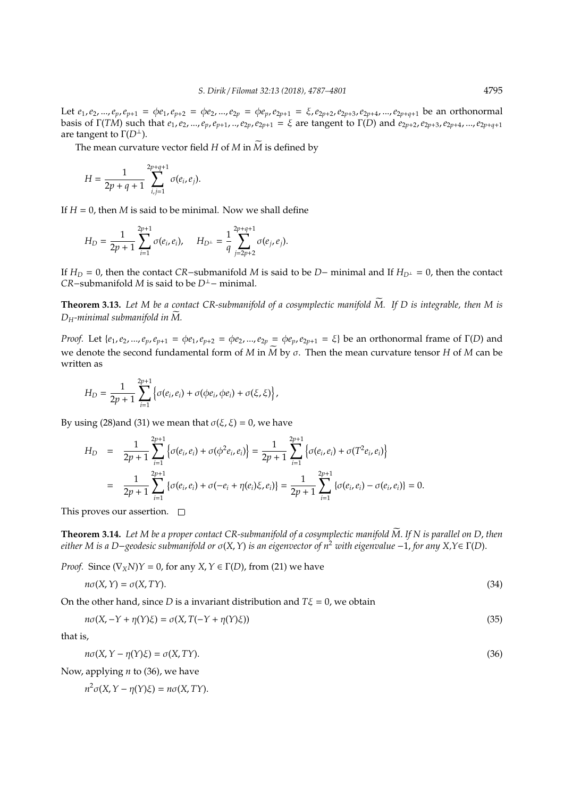Let  $e_1, e_2, ..., e_p, e_{p+1} = \phi e_1, e_{p+2} = \phi e_2, ..., e_{2p} = \phi e_p, e_{2p+1} = \xi, e_{2p+2}, e_{2p+3}, e_{2p+4}, ..., e_{2p+q+1}$  be an orthonormal basis of  $\Gamma(TM)$  such that  $e_1, e_2, ..., e_p, e_{p+1}, ..., e_{2p}, e_{2p+1} = \xi$  are tangent to  $\Gamma(D)$  and  $e_{2p+2}, e_{2p+3}, e_{2p+4}, ..., e_{2p+q+1}$ are tangent to  $\Gamma(D^{\perp})$ .

The mean curvature vector field *H* of *M* in  $\widetilde{M}$  is defined by

$$
H = \frac{1}{2p+q+1} \sum_{i,j=1}^{2p+q+1} \sigma(e_i, e_j).
$$

If  $H = 0$ , then *M* is said to be minimal. Now we shall define

$$
H_D = \frac{1}{2p+1} \sum_{i=1}^{2p+1} \sigma(e_i, e_i), \quad H_{D^{\perp}} = \frac{1}{q} \sum_{j=2p+2}^{2p+q+1} \sigma(e_j, e_j).
$$

If *H<sup>D</sup>* = 0, then the contact *CR*−submanifold *M* is said to be *D*− minimal and If *HD*<sup>⊥</sup> = 0, then the contact *CR*−submanifold *M* is said to be *D*<sup>⊥</sup>− minimal.

**Theorem 3.13.** *Let M be a contact CR-submanifold of a cosymplectic manifold M. If D is integrable, then M is* e  $D_H$ -minimal submanifold in  $\overline{M}$ .

*Proof.* Let  $\{e_1, e_2, ..., e_p, e_{p+1} = \phi e_1, e_{p+2} = \phi e_2, ..., e_{2p} = \phi e_p, e_{2p+1} = \xi\}$  be an orthonormal frame of  $\Gamma(D)$  and we denote the second fundamental form of *M* in  $\overline{M}$  by  $\sigma$ . Then the mean curvature tensor *H* of *M* can be written as

$$
H_D = \frac{1}{2p+1}\sum_{i=1}^{2p+1} \left\{\sigma(e_i,e_i) + \sigma(\phi e_i, \phi e_i) + \sigma(\xi,\xi)\right\},\,
$$

By using (28)and (31) we mean that  $\sigma(\xi, \xi) = 0$ , we have

$$
H_D = \frac{1}{2p+1} \sum_{i=1}^{2p+1} \left\{ \sigma(e_i, e_i) + \sigma(\phi^2 e_i, e_i) \right\} = \frac{1}{2p+1} \sum_{i=1}^{2p+1} \left\{ \sigma(e_i, e_i) + \sigma(T^2 e_i, e_i) \right\}
$$
  
= 
$$
\frac{1}{2p+1} \sum_{i=1}^{2p+1} \left\{ \sigma(e_i, e_i) + \sigma(-e_i + \eta(e_i)\xi, e_i) \right\} = \frac{1}{2p+1} \sum_{i=1}^{2p+1} \left\{ \sigma(e_i, e_i) - \sigma(e_i, e_i) \right\} = 0.
$$

This proves our assertion.  $\square$ 

**Theorem 3.14.** Let M be a proper contact CR-submanifold of a cosymplectic manifold  $\widetilde{M}$ . If N is parallel on D, then *either M is a D*−*geodesic submanifold or* σ(*X*,*Y*) *is an eigenvector of n*<sup>2</sup> *with eigenvalue* −1, *for any X,Y*∈ Γ(*D*).

*Proof.* Since  $(\nabla_X N)Y = 0$ , for any  $X, Y \in \Gamma(D)$ , from (21) we have

$$
n\sigma(X,Y) = \sigma(X,TY). \tag{34}
$$

On the other hand, since *D* is a invariant distribution and  $T\xi = 0$ , we obtain

$$
n\sigma(X, -Y + \eta(Y)\xi) = \sigma(X, T(-Y + \eta(Y)\xi))
$$
\n(35)

that is,

$$
n\sigma(X, Y - \eta(Y)\xi) = \sigma(X, TY). \tag{36}
$$

Now, applying *n* to (36), we have

*n* <sup>2</sup>σ(*X*,*Y* − η(*Y*)ξ) = *n*σ(*X*, *TY*).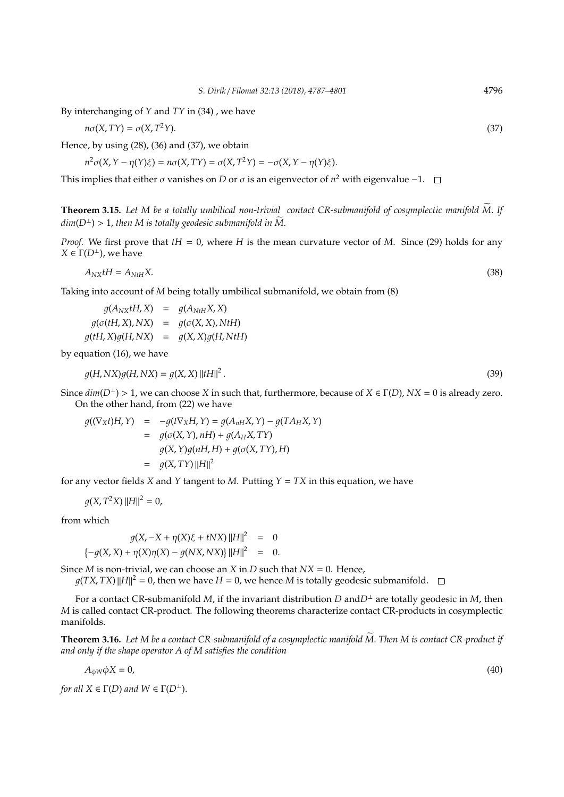By interchanging of *Y* and *TY* in (34) , we have

$$
n\sigma(X,TY) = \sigma(X,T^2Y). \tag{37}
$$

Hence, by using (28), (36) and (37), we obtain

$$
n^2\sigma(X, Y - \eta(Y)\xi) = n\sigma(X, TY) = \sigma(X, T^2Y) = -\sigma(X, Y - \eta(Y)\xi).
$$

This implies that either  $\sigma$  vanishes on *D* or  $\sigma$  is an eigenvector of  $n^2$  with eigenvalue -1.

**Theorem 3.15.** Let M be a totally umbilical non-trivial contact CR-submanifold of cosymplectic manifold M. If  $dim(D^{\perp}) > 1$ , *then* M is totally geodesic submanifold in M.

*Proof.* We first prove that *tH* = 0, where *H* is the mean curvature vector of *M*. Since (29) holds for any  $X \in \Gamma(D^{\perp})$ , we have

 $A_N x tH = A_{NtH} X$ . (38)

Taking into account of *M* being totally umbilical submanifold, we obtain from (8)

 $q(A_{NX}tH, X) = q(A_{NtH}X, X)$  $q(\sigma(tH, X), NX) = q(\sigma(X, X), NtH)$  $q(tH, X)q(H, NX) = q(X, X)q(H, NtH)$ 

by equation (16), we have

$$
g(H, NX)g(H, NX) = g(X, X) \left\| tH \right\|^2. \tag{39}
$$

Since  $dim(D^{\perp}) > 1$ , we can choose *X* in such that, furthermore, because of  $X \in \Gamma(D)$ ,  $NX = 0$  is already zero. On the other hand, from (22) we have

$$
g((\nabla_X t)H, Y) = -g(t\nabla_X H, Y) = g(A_{nH}X, Y) - g(TA_H X, Y)
$$
  
= 
$$
g(\sigma(X, Y), nH) + g(A_H X, TY)
$$
  

$$
g(X, Y)g(nH, H) + g(\sigma(X, TY), H)
$$
  
= 
$$
g(X, TY) ||H||^2
$$

for any vector fields *X* and *Y* tangent to *M*. Putting *Y* = *TX* in this equation, we have

$$
g(X, T^2 X) ||H||^2 = 0,
$$

from which

$$
g(X, -X + \eta(X)\xi + tNX) ||H||2 = 0
$$
  

$$
\{-g(X, X) + \eta(X)\eta(X) - g(NX,NX) ||H||2 = 0.
$$

Since *M* is non-trivial, we can choose an *X* in *D* such that *NX* = 0. Hence,

 $g(TX, TX)$   $||H||^2 = 0$ , then we have  $H = 0$ , we hence  $M$  is totally geodesic submanifold.

For a contact CR-submanifold *M*, if the invariant distribution *D* and  $D^{\perp}$  are totally geodesic in *M*, then *M* is called contact CR-product. The following theorems characterize contact CR-products in cosymplectic manifolds.

**Theorem 3.16.** Let M be a contact CR-submanifold of a cosymplectic manifold  $\widetilde{M}$ . Then M is contact CR-product if *and only if the shape operator A of M satisfies the condition*

$$
A_{\phi W}\phi X = 0,\tag{40}
$$

*for all*  $X \in \Gamma(D)$  *and*  $W \in \Gamma(D^{\perp})$ .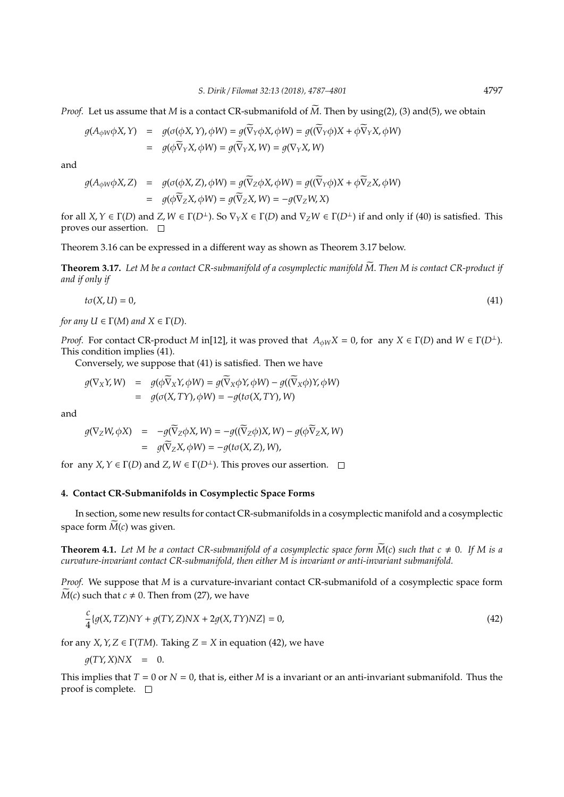*Proof.* Let us assume that *M* is a contact CR-submanifold of  $\tilde{M}$ . Then by using(2), (3) and(5), we obtain

$$
g(A_{\phi W}\phi X, Y) = g(\sigma(\phi X, Y), \phi W) = g(\overline{\nabla}_Y \phi X, \phi W) = g((\overline{\nabla}_Y \phi)X + \phi \overline{\nabla}_Y X, \phi W)
$$
  
=  $g(\phi \overline{\nabla}_Y X, \phi W) = g(\overline{\nabla}_Y X, W) = g(\nabla_Y X, W)$ 

and

$$
g(A_{\phi W}\phi X, Z) = g(\sigma(\phi X, Z), \phi W) = g(\overline{\nabla}_Z \phi X, \phi W) = g((\overline{\nabla}_Y \phi)X + \phi \overline{\nabla}_Z X, \phi W)
$$
  
=  $g(\phi \overline{\nabla}_Z X, \phi W) = g(\overline{\nabla}_Z X, W) = -g(\nabla_Z W, X)$ 

for all *X*,  $Y \in \Gamma(D)$  and *Z*,  $W \in \Gamma(D^{\perp})$ . So  $\nabla_Y X \in \Gamma(D)$  and  $\nabla_Z W \in \Gamma(D^{\perp})$  if and only if (40) is satisfied. This proves our assertion.  $\square$ 

Theorem 3.16 can be expressed in a different way as shown as Theorem 3.17 below.

**Theorem 3.17.** Let M be a contact CR-submanifold of a cosymplectic manifold M. Then M is contact CR-product if *and if only if*

$$
t\sigma(X,U) = 0,\tag{41}
$$

*for any*  $U \in \Gamma(M)$  *and*  $X \in \Gamma(D)$ .

*Proof.* For contact CR-product *M* in[12], it was proved that  $A_{\phi W}X = 0$ , for any  $X \in \Gamma(D)$  and  $W \in \Gamma(D^{\perp})$ . This condition implies (41).

Conversely, we suppose that (41) is satisfied. Then we have

$$
g(\nabla_X Y, W) = g(\phi \overline{\nabla}_X Y, \phi W) = g(\overline{\nabla}_X \phi Y, \phi W) - g(\overline{\nabla}_X \phi)Y, \phi W)
$$
  
=  $g(\sigma(X, TY), \phi W) = -g(t\sigma(X, TY), W)$ 

and

$$
g(\nabla_Z W, \phi X) = -g(\widetilde{\nabla}_Z \phi X, W) = -g((\widetilde{\nabla}_Z \phi)X, W) - g(\phi \widetilde{\nabla}_Z X, W)
$$
  
=  $g(\widetilde{\nabla}_Z X, \phi W) = -g(t\sigma(X, Z), W),$ 

for any *X*,  $Y \in \Gamma(D)$  and *Z*,  $W \in \Gamma(D^{\perp})$ . This proves our assertion.  $\square$ 

# **4. Contact CR-Submanifolds in Cosymplectic Space Forms**

In section, some new results for contact CR-submanifolds in a cosymplectic manifold and a cosymplectic space form  $M(c)$  was given.

**Theorem 4.1.** Let M be a contact CR-submanifold of a cosymplectic space form  $\dot{M}(c)$  such that  $c \neq 0$ . If M is a *curvature-invariant contact CR-submanifold, then either M is invariant or anti-invariant submanifold.*

*Proof.* We suppose that *M* is a curvature-invariant contact CR-submanifold of a cosymplectic space form  $\widetilde{M}(c)$  such that  $c \neq 0$ . Then from (27), we have

$$
\frac{c}{4}\lbrace g(X, TZ)NY + g(TY, Z)NX + 2g(X, TY)NZ \rbrace = 0,
$$
\n(42)

for any *X*, *Y*, *Z*  $\in$   $\Gamma$ (*TM*). Taking *Z* = *X* in equation (42), we have

$$
g(TY,X)NX = 0.
$$

This implies that *T* = 0 or *N* = 0, that is, either *M* is a invariant or an anti-invariant submanifold. Thus the proof is complete.  $\Box$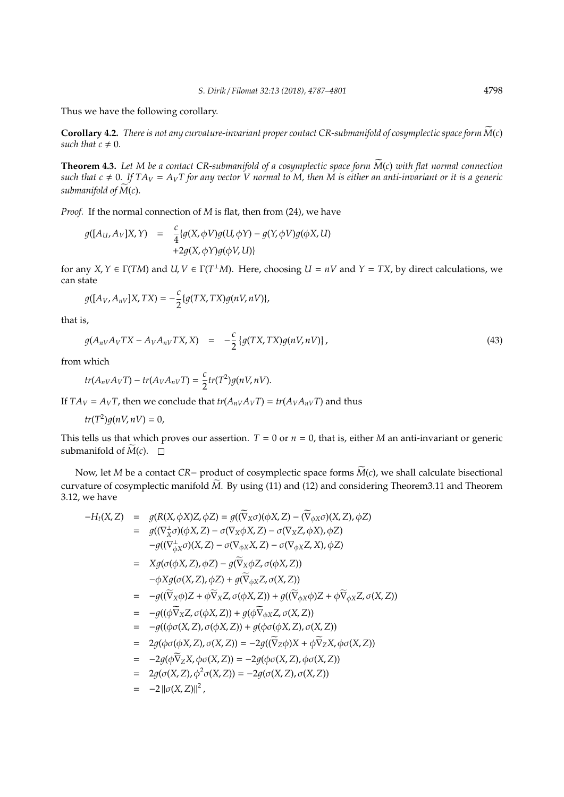Thus we have the following corollary.

**Corollary 4.2.** *There is not any curvature-invariant proper contact CR-submanifold of cosymplectic space form*  $\widetilde{M}(c)$ *such that*  $c \neq 0$ *.* 

**Theorem 4.3.** Let M be a contact CR-submanifold of a cosymplectic space form  $\widetilde{M}(c)$  with flat normal connection such that  $c \neq 0$ . If  $TA_V = A_VT$  for any vector V normal to M, then M is either an anti-invariant or it is a generic *submanifold of M(c).* 

*Proof.* If the normal connection of *M* is flat, then from (24), we have

$$
g([A_{U}, A_{V}]X, Y) = \frac{c}{4} \{g(X, \phi V)g(U, \phi Y) - g(Y, \phi V)g(\phi X, U) + 2g(X, \phi Y)g(\phi V, U)\}
$$

for any  $X, Y \in \Gamma(TM)$  and  $U, V \in \Gamma(T^{\perp}M)$ . Here, choosing  $U = nV$  and  $Y = TX$ , by direct calculations, we can state

$$
g([A_V,A_{nV}]X,TX)=-\frac{c}{2}\{g(TX,TX)g(nV,nV)\},\,
$$

*c*

that is,

$$
g(A_{nV}A_VTX - A_VA_{nV}TX, X) = -\frac{c}{2} \{g(TX, TX)g(nV, nV)\},
$$
\n(43)

from which

$$
tr(A_{nV}A_VT)-tr(A_VA_{nV}T)=\frac{c}{2}tr(T^2)g(nV,nV).
$$

If  $TA_V = A_VT$ , then we conclude that  $tr(A_{nV}A_VT) = tr(A_VA_{nV}T)$  and thus

 $tr(T^2)g(nV,nV) = 0,$ 

This tells us that which proves our assertion.  $T = 0$  or  $n = 0$ , that is, either *M* an anti-invariant or generic submanifold of  $\widetilde{M}(c)$ .  $\Box$ 

Now, let *M* be a contact *CR*− product of cosymplectic space forms  $\widetilde{M}(c)$ , we shall calculate bisectional curvature of cosymplectic manifold  $\widetilde{M}$ . By using (11) and (12) and considering Theorem3.11 and Theorem 3.12, we have

$$
-H_t(X,Z) = g(R(X,\phi X)Z, \phi Z) = g((\overline{\nabla}_X \sigma)(\phi X, Z) - (\overline{\nabla}_{\phi X} \sigma)(X, Z), \phi Z)
$$
  

$$
= g((\nabla_X^{\perp} \sigma)(\phi X, Z) - \sigma(\nabla_X \phi X, Z) - \sigma(\nabla_X Z, \phi X), \phi Z)
$$
  

$$
-g((\nabla_{\phi X}^{\perp} \sigma)(X, Z) - \sigma(\nabla_{\phi X} X, Z) - \sigma(\nabla_{\phi X} Z, X), \phi Z)
$$

$$
= Xg(\sigma(\phi X, Z), \phi Z) - g(\overline{\nabla}_X \phi Z, \sigma(\phi X, Z))
$$

$$
-\phi Xg(\sigma(X, Z), \phi Z) + g(\overline{\nabla}_{\phi X} Z, \sigma(X, Z))
$$

$$
= -g((\widetilde{\nabla}_X \phi)Z + \phi \widetilde{\nabla}_X Z, \sigma(\phi X, Z)) + g((\widetilde{\nabla}_{\phi X} \phi)Z + \phi \widetilde{\nabla}_{\phi X} Z, \sigma(X, Z))
$$

 $= -g((\phi \widetilde{\nabla}_X Z, \sigma(\phi X, Z)) + g(\phi \widetilde{\nabla}_{\phi X} Z, \sigma(X, Z))$ 

$$
= -g((\phi\sigma(X,Z),\sigma(\phi X,Z)) + g(\phi\sigma(\phi X,Z),\sigma(X,Z))
$$

- =  $2q(\phi\sigma(\phi X, Z), \sigma(X, Z)) = -2q((\overline{\nabla}_Z\phi)X + \phi\overline{\nabla}_Z X, \phi\sigma(X, Z))$
- $= -2q(\phi \widetilde{\nabla}_Z X, \phi \sigma(X, Z)) = -2q(\phi \sigma(X, Z), \phi \sigma(X, Z))$
- $= 2q(\sigma(X, Z), \phi^2 \sigma(X, Z)) = -2q(\sigma(X, Z), \sigma(X, Z))$
- $= -2 ||\sigma(X,Z)||^2$ ,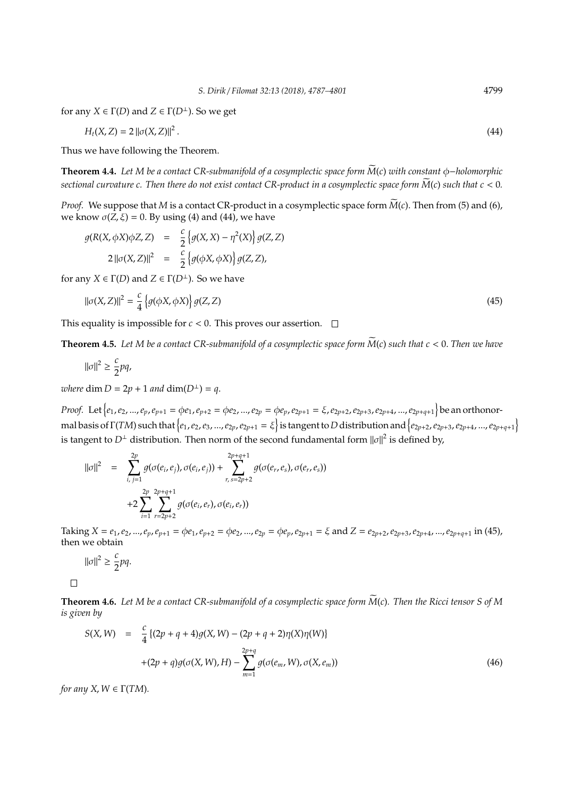for any  $X \in \Gamma(D)$  and  $Z \in \Gamma(D^{\perp})$ . So we get

$$
H_t(X,Z) = 2 ||\sigma(X,Z)||^2.
$$
 (44)

Thus we have following the Theorem.

**Theorem 4.4.** Let M be a contact CR-submanifold of a cosymplectic space form  $\widetilde{M}(c)$  with constant φ-holomorphic *sectional curvature c. Then there do not exist contact CR-product in a cosymplectic space form*  $\widetilde{M}(c)$  *such that*  $c < 0$ *.* 

*Proof.* We suppose that *M* is a contact CR-product in a cosymplectic space form  $\widetilde{M}(c)$ . Then from (5) and (6), we know  $\sigma(\bar{Z}, \bar{\xi}) = 0$ . By using (4) and (44), we have

$$
g(R(X, \phi X)\phi Z, Z) = \frac{c}{2} \left\{ g(X, X) - \eta^2(X) \right\} g(Z, Z)
$$
  

$$
2 ||\sigma(X, Z)||^2 = \frac{c}{2} \left\{ g(\phi X, \phi X) \right\} g(Z, Z),
$$
  
by X \in \Gamma(D) and Z \in \Gamma(D^{\perp}). So we have

for any *X*  $\in$   $\Gamma$ (*D*) and *Z*  $\in$   $\Gamma$ (*D*<sup> $\perp$ </sup>). So we have

$$
\|\sigma(X,Z)\|^2 = \frac{c}{4} \left\{ g(\phi X, \phi X) \right\} g(Z, Z) \tag{45}
$$

This equality is impossible for  $c < 0$ . This proves our assertion.  $\Box$ 

**Theorem 4.5.** Let M be a contact CR-submanifold of a cosymplectic space form  $\widetilde{M}(c)$  such that  $c < 0$ . Then we have

$$
\|\sigma\|^2\geq \frac{c}{2}pq,
$$

*where* dim  $D = 2p + 1$  *and* dim( $D^{\perp}$ ) = *q*.

*Proof.* Let  $\{e_1, e_2, ..., e_p, e_{p+1} = \phi e_1, e_{p+2} = \phi e_2, ..., e_{2p} = \phi e_p, e_{2p+1} = \xi, e_{2p+2}, e_{2p+3}, e_{2p+4}, ..., e_{2p+q+1}\}$  be an orthonormal basis of  $\Gamma(TM)$  such that  $\{e_1,e_2,e_3,...,e_{2p},e_{2p+1}=\xi\}$  is tangent to  $D$  distribution and  $\{e_{2p+2},e_{2p+3},e_{2p+4},...,e_{2p+q+1}\}$ is tangent to  $D^{\perp}$  distribution. Then norm of the second fundamental form  $||\sigma||^2$  is defined by,

$$
\|\sigma\|^2 = \sum_{i, j=1}^{2p} g(\sigma(e_i, e_j), \sigma(e_i, e_j)) + \sum_{r, s=2p+2}^{2p+q+1} g(\sigma(e_r, e_s), \sigma(e_r, e_s))
$$
  
+2
$$
\sum_{i=1}^{2p} \sum_{r=2p+2}^{2p+q+1} g(\sigma(e_i, e_r), \sigma(e_i, e_r))
$$

Taking  $X = e_1, e_2, ..., e_p, e_{p+1} = \phi e_1, e_{p+2} = \phi e_2, ..., e_{2p} = \phi e_p, e_{2p+1} = \xi$  and  $Z = e_{2p+2}, e_{2p+3}, e_{2p+4}, ..., e_{2p+q+1}$  in (45), then we obtain

$$
||\sigma||^2 \ge \frac{c}{2}pq.
$$

 $\Box$ 

**Theorem 4.6.** Let M be a contact CR-submanifold of a cosymplectic space form  $\widetilde{M}(c)$ . Then the Ricci tensor S of M *is given by*

$$
S(X, W) = \frac{c}{4} \{ (2p + q + 4)g(X, W) - (2p + q + 2)\eta(X)\eta(W) \}
$$
  
+ 
$$
(2p + q)g(\sigma(X, W), H) - \sum_{m=1}^{2p+q} g(\sigma(e_m, W), \sigma(X, e_m))
$$
 (46)

*for any X*,  $W \in \Gamma(TM)$ *.*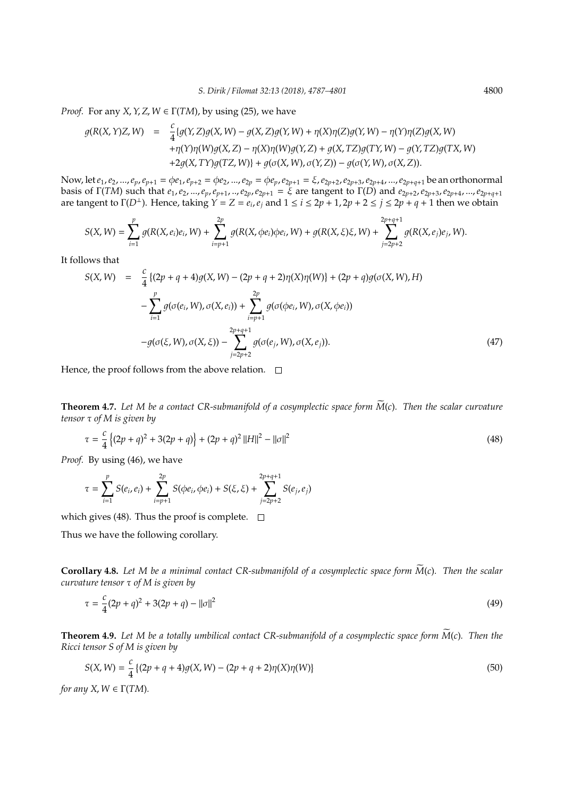*Proof.* For any *X*, *Y*, *Z*, *W*  $\in \Gamma(TM)$ , by using (25), we have

$$
g(R(X, Y)Z, W) = \frac{c}{4} \{g(Y, Z)g(X, W) - g(X, Z)g(Y, W) + \eta(X)\eta(Z)g(Y, W) - \eta(Y)\eta(Z)g(X, W) + \eta(Y)\eta(W)g(X, Z) - \eta(X)\eta(W)g(Y, Z) + g(X, TZ)g(TY, W) - g(Y, TZ)g(TX, W) + 2g(X, TY)g(TZ, W)\} + g(\sigma(X, W), \sigma(Y, Z)) - g(\sigma(Y, W), \sigma(X, Z)).
$$

Now, let  $e_1, e_2, ..., e_p, e_{p+1} = \phi e_1, e_{p+2} = \phi e_2, ..., e_{2p} = \phi e_p, e_{2p+1} = \xi, e_{2p+2}, e_{2p+3}, e_{2p+4}, ..., e_{2p+q+1}$  be an orthonormal basis of  $\Gamma(TM)$  such that  $e_1, e_2, ..., e_p, e_{p+1}, ..., e_{2p}, e_{2p+1} = \xi$  are tangent to  $\Gamma(D)$  and  $e_{2p+2}, e_{2p+3}, e_{2p+4}, ..., e_{2p+q+1}$ are tangent to  $\Gamma(D^{\perp})$ . Hence, taking  $Y = Z = e_i, e_j$  and  $1 \le i \le 2p + 1, 2p + 2 \le j \le 2p + q + 1$  then we obtain

$$
S(X,W) = \sum_{i=1}^p g(R(X,e_i)e_i,W) + \sum_{i=p+1}^{2p} g(R(X,\phi e_i)\phi e_i,W) + g(R(X,\xi)\xi,W) + \sum_{j=2p+2}^{2p+q+1} g(R(X,e_j)e_j,W).
$$

It follows that

$$
S(X, W) = \frac{c}{4} \{ (2p + q + 4)g(X, W) - (2p + q + 2)\eta(X)\eta(W) \} + (2p + q)g(\sigma(X, W), H)
$$
  

$$
- \sum_{i=1}^{p} g(\sigma(e_i, W), \sigma(X, e_i)) + \sum_{i=p+1}^{2p} g(\sigma(\phi e_i, W), \sigma(X, \phi e_i))
$$
  

$$
-g(\sigma(\xi, W), \sigma(X, \xi)) - \sum_{j=2p+2}^{2p+q+1} g(\sigma(e_j, W), \sigma(X, e_j)).
$$
 (47)

Hence, the proof follows from the above relation.  $\square$ 

**Theorem 4.7.** Let M be a contact CR-submanifold of a cosymplectic space form  $\widetilde{M}(c)$ . Then the scalar curvature *tensor* τ *of M is given by*

$$
\tau = \frac{c}{4} \left\{ (2p+q)^2 + 3(2p+q) \right\} + (2p+q)^2 ||H||^2 - ||\sigma||^2 \tag{48}
$$

*Proof.* By using (46), we have

$$
\tau = \sum_{i=1}^p S(e_i, e_i) + \sum_{i=p+1}^{2p} S(\phi e_i, \phi e_i) + S(\xi, \xi) + \sum_{j=2p+2}^{2p+q+1} S(e_j, e_j)
$$

which gives (48). Thus the proof is complete.  $\square$ 

Thus we have the following corollary.

**Corollary 4.8.** Let M be a minimal contact CR-submanifold of a cosymplectic space form  $\dot{M}(c)$ . Then the scalar *curvature tensor* τ *of M is given by*

$$
\tau = \frac{c}{4}(2p+q)^2 + 3(2p+q) - ||\sigma||^2 \tag{49}
$$

**Theorem 4.9.** Let M be a totally umbilical contact CR-submanifold of a cosymplectic space form  $\widetilde{M}(c)$ . Then the *Ricci tensor S of M is given by*

$$
S(X, W) = \frac{c}{4} \left\{ (2p + q + 4)g(X, W) - (2p + q + 2)\eta(X)\eta(W) \right\}
$$
\n(50)

*for any X*,  $W \in \Gamma(TM)$ *.*